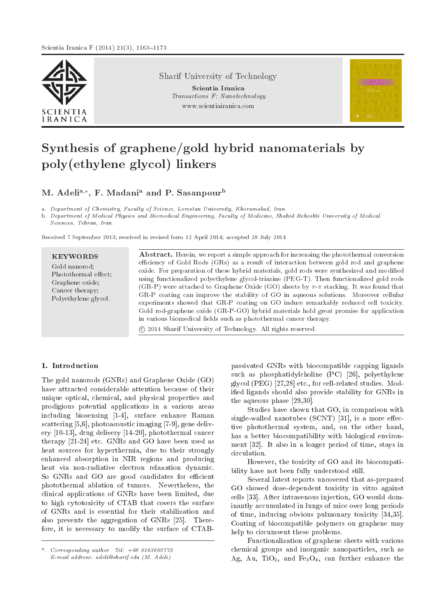

Sharif University of Technology

Scientia Iranica Transactions F: Nanotechnology www.scientiairanica.com



# Synthesis of graphene/gold hybrid nanomaterials by poly(ethylene glycol) linkers

M. Adeli<sup>a,</sup>\*, F. Madani<sup>a</sup> and P. Sasanpour<sup>b</sup>

a. Department of Chemistry, Faculty of Science, Lorestan University, Khoramabad, Iran.

b. Department of Medical Physics and Biomedical Engineering, Faculty of Medicine, Shahid Beheshti University of Medical Sciences, Tehran, Iran.

Received 7 September 2013; received in revised form 12 April 2014; accepted 28 July 2014

c 2014 Sharif University of Technology. All rights reserved.

## 1. Introduction

The gold nanorods (GNRs) and Graphene Oxide (GO) have attracted considerable attention because of their unique optical, chemical, and physical properties and prodigious potential applications in a various areas including biosensing [1-4], surface enhance Raman scattering [5,6], photoacoustic imaging [7-9], gene delivery [10-13], drug delivery [14-20], photothermal cancer therapy [21-24] etc. GNRs and GO have been used as heat sources for hyperthermia, due to their strongly enhanced absorption in NIR regions and producing heat via non-radiative electron relaxation dynamic. So GNRs and GO are good candidates for efficient photothermal ablation of tumors. Nevertheless, the clinical applications of GNRs have been limited, due to high cytotoxicity of CTAB that covers the surface of GNRs and is essential for their stabilization and also prevents the aggregation of GNRs [25]. Therefore, it is necessary to modify the surface of CTAB- passivated GNRs with biocompatible capping ligands such as phosphatidylcholine (PC) [26], polyethylene glycol (PEG) [27,28] etc., for cell-related studies. Modied ligands should also provide stability for GNRs in the aqueous phase [29,30].

Studies have shown that GO, in comparison with single-walled nanotubes  $(SCNT)$  [31], is a more effective photothermal system, and, on the other hand, has a better biocompatibility with biological environment [32]. It also in a longer period of time, stays in circulation.

However, the toxicity of GO and its biocompatibility have not been fully understood still.

Several latest reports uncovered that as-prepared GO showed dose-dependent toxicity in vitro against cells [33]. After intravenous injection, GO would dominantly accumulated in lungs of mice over long periods of time, inducing obvious pulmonary toxicity [34,35]. Coating of biocompatible polymers on graphene may help to circumvent these problems.

Functionalization of graphene sheets with various chemical groups and inorganic nanoparticles, such as Ag, Au,  $TiO<sub>2</sub>$ , and  $Fe<sub>3</sub>O<sub>4</sub>$ , can further enhance the

 $Corresponding \ author. \ Tel: +98 \ 9163603772$ E-mail address: adeli@sharif.edu (M. Adeli)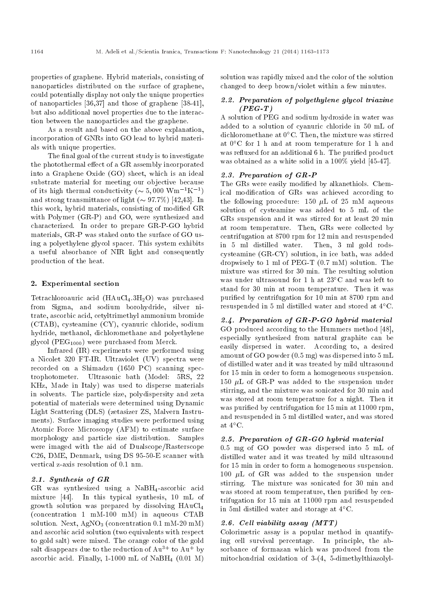properties of graphene. Hybrid materials, consisting of nanoparticles distributed on the surface of graphene, could potentially display not only the unique properties of nanoparticles [36,37] and those of graphene [38-41], but also additional novel properties due to the interaction between the nanoparticles and the graphene.

As a result and based on the above explanation, incorporation of GNRs into GO lead to hybrid materials with unique properties.

The final goal of the current study is to investigate the photothermal effect of a GR assembly incorporated into a Graphene Oxide (GO) sheet, which is an ideal substrate material for meeting our objective because of its high thermal conductivity ( $\sim 5,000 \text{ Wm}^{-1}\text{K}^{-1}$ ) and strong transmittance of light  $({\sim} 97.7\%)$  [42,43]. In this work, hybrid materials, consisting of modied GR with Polymer (GR-P) and GO, were synthesized and characterized. In order to prepare GR-P-GO hybrid materials, GR-P was staked onto the surface of GO using a polyethylene glycol spacer. This system exhibits a useful absorbance of NIR light and consequently production of the heat.

#### 2. Experimental section

Tetrachloroauric acid  $(HAuCl<sub>4</sub>.3H<sub>2</sub>O)$  was purchased from Sigma, and sodium borohydride, silver nitrate, ascorbic acid, cetyltrimethyl ammonium bromide (CTAB), cysteamine (CY), cyanuric chloride, sodium hydride, methanol, dichloromethane and polyethylene glycol (PEG1000) were purchased from Merck.

Infrared (IR) experiments were performed using a Nicolet 320 FT-IR. Ultraviolet (UV) spectra were recorded on a Shimadzu (1650 PC) scanning spectrophotometer. Ultrasonic bath (Model: 5RS, 22 KHz, Made in Italy) was used to disperse materials in solvents. The particle size, polydispersity and zeta potential of materials were determined using Dynamic Light Scattering (DLS) (zetasizer ZS, Malvern Instruments). Surface imaging studies were performed using Atomic Force Microscopy (AFM) to estimate surface morphology and particle size distribution. Samples were imaged with the aid of Dualscope/Rasterscope C26, DME, Denmark, using DS 95-50-E scanner with vertical z-axis resolution of 0.1 nm.

#### 2.1. Synthesis of GR

GR was synthesized using a NaBH4-ascorbic acid mixture [44]. In this typical synthesis, 10 mL of growth solution was prepared by dissolving HAuCl<sup>4</sup> (concentration 1 mM-100 mM) in aqueous CTAB solution. Next,  $AgNO<sub>3</sub>$  (concentration 0.1 mM-20 mM) and ascorbic acid solution (two equivalents with respect to gold salt) were mixed. The orange color of the gold salt disappears due to the reduction of  $Au^{3+}$  to  $Au^{\dagger}$  by ascorbic acid. Finally,  $1-1000$  mL of NaBH<sub>4</sub>  $(0.01 \text{ M})$ 

solution was rapidly mixed and the color of the solution changed to deep brown/violet within a few minutes.

#### 2.2. Preparation of polyethylene glycol triazine  $(PEG-T)$

A solution of PEG and sodium hydroxide in water was added to a solution of cyanuric chloride in 50 mL of dichloromethane at  $0^{\circ}$ C. Then, the mixture was stirred at  $0^{\circ}$ C for 1 h and at room temperature for 1 h and was refluxed for an additional 6 h. The purified product was obtained as a white solid in a 100% yield [45-47].

#### 2.3. Preparation of GR-P

The GRs were easily modified by alkanethiols. Chemical modication of GRs was achieved according to the following procedure: 150  $\mu$ L of 25 mM aqueous solution of cysteamine was added to 5 mL of the GRs suspension and it was stirred for at least 20 min at room temperature. Then, GRs were collected by centrifugation at 8700 rpm for 12 min and resuspended in 5 ml distilled water. Then, 3 ml gold rodscysteamine (GR-CY) solution, in ice bath, was added dropwisely to 1 ml of PEG-T (0.7 mM) solution. The mixture was stirred for 30 min. The resulting solution was under ultrasound for 1 h at 23°C and was left to stand for 30 min at room temperature. Then it was puried by centrifugation for 10 min at 8700 rpm and resuspended in 5 ml distilled water and stored at  $4^{\circ}$ C.

# 2.4. Preparation of GR-P-GO hybrid material

GO produced according to the Hummers method [48], especially synthesized from natural graphite can be easily dispersed in water. According to, a desired amount of GO powder (0.5 mg) was dispersed into 5 mL of distilled water and it was treated by mild ultrasound for 15 min in order to form a homogeneous suspension. 150  $\mu$ L of GR-P was added to the suspension under stirring, and the mixture was sonicated for 30 min and was stored at room temperature for a night. Then it was purified by centrifugation for 15 min at 11000 rpm, and resuspended in 5 ml distilled water, and was stored at  $4^{\circ}$ C.

#### 2.5. Preparation of GR-GO hybrid material

0.5 mg of GO powder was dispersed into 5 mL of distilled water and it was treated by mild ultrasound for 15 min in order to form a homogeneous suspension. 100  $\mu$ L of GR was added to the suspension under stirring. The mixture was sonicated for 30 min and was stored at room temperature, then purified by centrifugation for 15 min at 11000 rpm and resuspended in 5ml distilled water and storage at  $4^{\circ}$ C.

### 2.6. Cell viability assay (MTT)

Colorimetric assay is a popular method in quantifying cell survival percentage. In principle, the absorbance of formazan which was produced from the mitochondrial oxidation of 3-(4, 5-dimethylthiazolyl-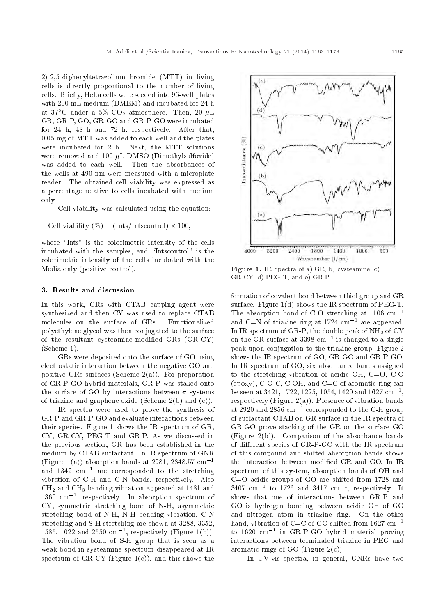2)-2,5-diphenyltetrazolium bromide (MTT) in living cells is directly proportional to the number of living cells. Briefly, HeLa cells were seeded into 96-well plates with 200 mL medium (DMEM) and incubated for 24 h at 37°C under a 5%  $CO_2$  atmosphere. Then, 20  $\mu$ L GR, GR-P, GO, GR-GO and GR-P-GO were incubated for 24 h, 48 h and 72 h, respectively. After that, 0.05 mg of MTT was added to each well and the plates were incubated for 2 h. Next, the MTT solutions were removed and 100  $\mu$ L DMSO (Dimethylsulfoxide) was added to each well. Then the absorbances of the wells at 490 nm were measured with a microplate reader. The obtained cell viability was expressed as a percentage relative to cells incubated with medium only.

Cell viability was calculated using the equation:

Cell viability 
$$
(\%) = (Inst/Intscontrol) \times 100,
$$

where "Ints" is the colorimetric intensity of the cells incubated with the samples, and \Intscontrol" is the colorimetric intensity of the cells incubated with the Media only (positive control).

#### 3. Results and discussion

In this work, GRs with CTAB capping agent were synthesized and then CY was used to replace CTAB molecules on the surface of GRs. Functionalized polyethylene glycol was then conjugated to the surface of the resultant cysteamine-modied GRs (GR-CY) (Scheme 1).

GRs were deposited onto the surface of GO using electrostatic interaction between the negative GO and positive GRs surfaces (Scheme  $2(a)$ ). For preparation of GR-P-GO hybrid materials, GR-P was staked onto the surface of GO by interactions between  $\pi$  systems of triazine and graphene oxide (Scheme 2(b) and (c)).

IR spectra were used to prove the synthesis of GR-P and GR-P-GO and evaluate interactions between their species. Figure 1 shows the IR spectrum of GR, CY, GR-CY, PEG-T and GR-P. As we discussed in the previous section, GR has been established in the medium by CTAB surfactant. In IR spectrum of GNR (Figure 1(a)) absorption bands at 2981, 2848.57 cm<sup>-1</sup> and  $1342 \text{ cm}^{-1}$  are corresponded to the stretching vibration of C-H and C-N bands, respectively. Also  $CH<sub>2</sub>$  and  $CH<sub>3</sub>$  bending vibration appeared at 1481 and  $1360 \, \text{cm}^{-1}$ , respectively. In absorption spectrum of CY, symmetric stretching bond of N-H, asymmetric stretching bond of N-H, N-H bending vibration, C-N stretching and S-H stretching are shown at 3288, 3352, 1585, 1022 and 2550  $\text{cm}^{-1}$ , respectively (Figure 1(b)). The vibration bond of S-H group that is seen as a weak bond in systeamine spectrum disappeared at IR spectrum of  $GR-CY$  (Figure 1(c)), and this shows the

 $(d)$ Transmittance (%)  $(c)$  $(1)$  $(x)$ 2400 1800 1400 1000 600 4000 3200 Wavenumber (1/cm)

Figure 1. IR Spectra of a) GR, b) cysteamine, c) GR-CY, d) PEG-T, and e) GR-P.

formation of covalent bond between thiol group and GR surface. Figure 1(d) shows the IR spectrum of PEG-T. The absorption bond of C-O stretching at  $1106 \text{ cm}^{-1}$ and C=N of triazine ring at  $1724 \text{ cm}^{-1}$  are appeared. In IR spectrum of GR-P, the double peak of  $NH<sub>2</sub>$  of CY on the GR surface at  $3398~\mathrm{cm}^{-1}$  is changed to a single peak upon conjugation to the triazine group. Figure 2 shows the IR spectrum of GO, GR-GO and GR-P-GO. In IR spectrum of GO, six absorbance bands assigned to the stretching vibration of acidic OH, C=O, C-O (epoxy), C-O-C, C-OH, and  $C=C$  of aromatic ring can be seen at 3421, 1722, 1225, 1054, 1420 and 1627  $\rm cm^{-1},$ respectively (Figure  $2(a)$ ). Presence of vibration bands at 2920 and 2856  $\rm cm^{-1}$  corresponded to the C-H group of surfactant CTAB on GR surface in the IR spectra of GR-GO prove stacking of the GR on the surface GO (Figure 2(b)). Comparison of the absorbance bands of different species of GR-P-GO with the IR spectrum of this compound and shifted absorption bands shows the interaction between modied GR and GO. In IR spectrum of this system, absorption bands of OH and C=O acidic groups of GO are shifted from 1728 and  $3407 \text{ cm}^{-1}$  to  $1726 \text{ and } 3417 \text{ cm}^{-1}$ , respectively. It shows that one of interactions between GR-P and GO is hydrogen bonding between acidic OH of GO and nitrogen atom in triazine ring. On the other hand, vibration of C=C of GO shifted from  $1627 \text{ cm}^{-1}$ to  $1620 \, \text{cm}^{-1}$  in GR-P-GO hybrid material proving interactions between terminated triazine in PEG and aromatic rings of GO (Figure  $2(c)$ ).

In UV-vis spectra, in general, GNRs have two

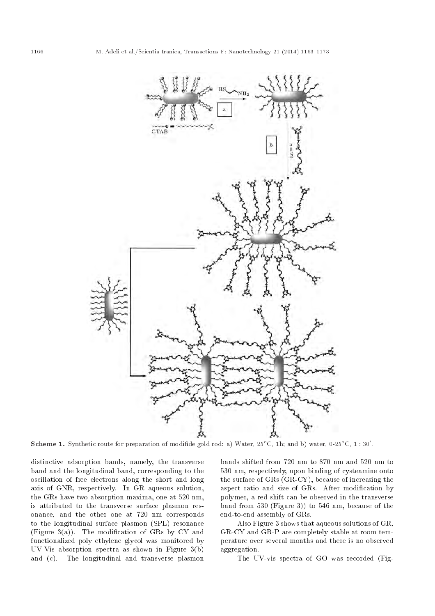

**Scheme 1.** Synthetic route for preparation of modifide gold rod: a) Water,  $25^{\circ}$ C, 1h; and b) water,  $0.25^{\circ}$ C,  $1:30'$ .

distinctive adsorption bands, namely, the transverse band and the longitudinal band, corresponding to the oscillation of free electrons along the short and long axis of GNR, respectively. In GR aqueous solution, the GRs have two absorption maxima, one at 520 nm, is attributed to the transverse surface plasmon resonance, and the other one at 720 nm corresponds to the longitudinal surface plasmon (SPL) resonance (Figure 3(a)). The modification of GRs by CY and functionalized poly ethylene glycol was monitored by UV-Vis absorption spectra as shown in Figure 3(b) and (c). The longitudinal and transverse plasmon bands shifted from 720 nm to 870 nm and 520 nm to 530 nm, respectively, upon binding of cysteamine onto the surface of GRs (GR-CY), because of increasing the aspect ratio and size of GRs. After modification by polymer, a red-shift can be observed in the transverse band from 530 (Figure 3)) to 546 nm, because of the end-to-end assembly of GRs.

Also Figure 3 shows that aqueous solutions of GR, GR-CY and GR-P are completely stable at room temperature over several months and there is no observed aggregation.

The UV-vis spectra of GO was recorded (Fig-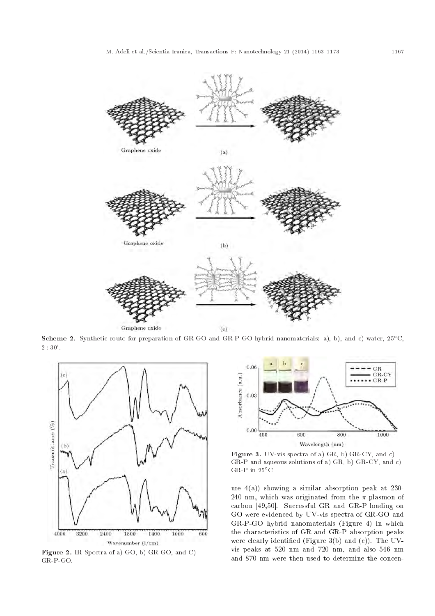

Scheme 2. Synthetic route for preparation of GR-GO and GR-P-GO hybrid nanomaterials: a), b), and c) water, 25°C,  $2:30'.$ 



Figure 2. IR Spectra of a) GO, b) GR-GO, and C) GR-P-GO.



Figure 3. UV-vis spectra of a) GR, b) GR-CY, and c) GR-P and aqueous solutions of a) GR, b)  $GRCY$ , and c) GR-P in  $25^{\circ}$ C.

ure 4(a)) showing a similar absorption peak at 230- 240 nm, which was originated from the  $\pi$ -plasmon of carbon [49,50]. Successful GR and GR-P loading on GO were evidenced by UV-vis spectra of GR-GO and GR-P-GO hybrid nanomaterials (Figure 4) in which the characteristics of GR and GR-P absorption peaks were clearly identied (Figure 3(b) and (c)). The UVvis peaks at 520 nm and 720 nm, and also 546 nm and 870 nm were then used to determine the concen-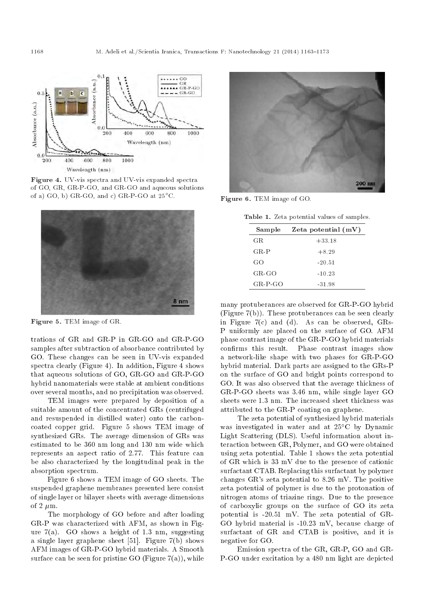

Figure 4. UV-vis spectra and UV-vis expanded spectra of GO, GR, GR-P-GO, and GR-GO and aqueous solutions of a) GO, b) GR-GO, and c) GR-P-GO at  $25^{\circ}$ C.



Figure 5. TEM image of GR.

trations of GR and GR-P in GR-GO and GR-P-GO samples after subtraction of absorbance contributed by GO. These changes can be seen in UV-vis expanded spectra clearly (Figure 4). In addition, Figure 4 shows that aqueous solutions of GO, GR-GO and GR-P-GO hybrid nanomaterials were stable at ambient conditions over several months, and no precipitation was observed.

TEM images were prepared by deposition of a suitable amount of the concentrated GRs (centrifuged and resuspended in distilled water) onto the carboncoated copper grid. Figure 5 shows TEM image of synthesized GRs. The average dimension of GRs was estimated to be 360 nm long and 130 nm wide which represents an aspect ratio of 2.77. This feature can be also characterized by the longitudinal peak in the absorption spectrum.

Figure 6 shows a TEM image of GO sheets. The suspended graphene membranes presented here consist of single layer or bilayer sheets with average dimensions of 2  $\mu$ m.

The morphology of GO before and after loading GR-P was characterized with AFM, as shown in Figure  $7(a)$ . GO shows a height of 1.3 nm, suggesting a single layer graphene sheet [51]. Figure 7(b) shows AFM images of GR-P-GO hybrid materials. A Smooth surface can be seen for pristine GO (Figure  $7(a)$ ), while



Figure 6. TEM image of GO.

| Table 1. Zeta potential values of samples. |  |  |  |
|--------------------------------------------|--|--|--|
|--------------------------------------------|--|--|--|

| Sample        | Zeta potential $(mV)$ |  |  |
|---------------|-----------------------|--|--|
| GR.           | $+33.18$              |  |  |
| $G$ R-P       | $+8.29$               |  |  |
| GO            | $-20.51$              |  |  |
| $G$ R- $GO$   | $-10.23$              |  |  |
| $GR$ $P$ $GO$ | -31.98                |  |  |

many protuberances are observed for GR-P-GO hybrid (Figure 7(b)). These protuberances can be seen clearly in Figure 7(c) and (d). As can be observed, GRs-P uniformly are placed on the surface of GO. AFM phase contrast image of the GR-P-GO hybrid materials confirms this result. Phase contrast images show a network-like shape with two phases for GR-P-GO hybrid material. Dark parts are assigned to the GRs-P on the surface of GO and bright points correspond to GO. It was also observed that the average thickness of GR-P-GO sheets was 3.46 nm, while single layer GO sheets were 1.3 nm. The increased sheet thickness was attributed to the GR-P coating on graphene.

The zeta potential of synthesized hybrid materials was investigated in water and at  $25^{\circ}$ C by Dynamic Light Scattering (DLS). Useful information about interaction between GR, Polymer, and GO were obtained using zeta potential. Table 1 shows the zeta potential of GR which is 33 mV due to the presence of cationic surfactant CTAB. Replacing this surfactant by polymer changes GR's zeta potential to 8.26 mV. The positive zeta potential of polymer is due to the protonation of nitrogen atoms of triazine rings. Due to the presence of carboxylic groups on the surface of GO its zeta potential is -20.51 mV. The zeta potential of GR-GO hybrid material is -10.23 mV, because charge of surfactant of GR and CTAB is positive, and it is negative for GO.

Emission spectra of the GR, GR-P, GO and GR-P-GO under excitation by a 480 nm light are depicted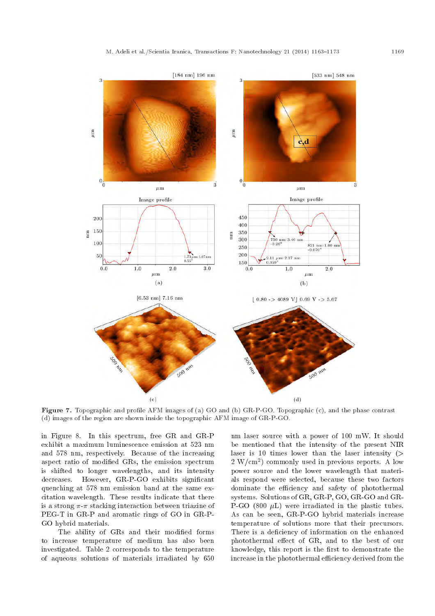

Figure 7. Topographic and prole AFM images of (a) GO and (b) GR-P-GO. Topographic (c), and the phase contrast (d) images of the region are shown inside the topographic AFM image of GR-P-GO.

in Figure 8. In this spectrum, free GR and GR-P exhibit a maximum luminescence emission at 523 nm and 578 nm, respectively. Because of the increasing aspect ratio of modied GRs, the emission spectrum is shifted to longer wavelengths, and its intensity decreases. However, GR-P-GO exhibits signicant quenching at 578 nm emission band at the same excitation wavelength. These results indicate that there is a strong  $\pi$ - $\pi$  stacking interaction between triazine of PEG-T in GR-P and aromatic rings of GO in GR-P-GO hybrid materials.

The ability of GRs and their modified forms to increase temperature of medium has also been investigated. Table 2 corresponds to the temperature of aqueous solutions of materials irradiated by 650 nm laser source with a power of 100 mW. It should be mentioned that the intensity of the present NIR laser is 10 times lower than the laser intensity  $($ 2 W/cm<sup>2</sup> ) commonly used in previous reports. A low power source and the lower wavelength that materials respond were selected, because these two factors dominate the efficiency and safety of photothermal systems. Solutions of GR, GR-P, GO, GR-GO and GR-P-GO (800  $\mu$ L) were irradiated in the plastic tubes. As can be seen, GR-P-GO hybrid materials increase temperature of solutions more that their precursors. There is a deficiency of information on the enhanced photothermal effect of GR, and to the best of our knowledge, this report is the first to demonstrate the increase in the photothermal efficiency derived from the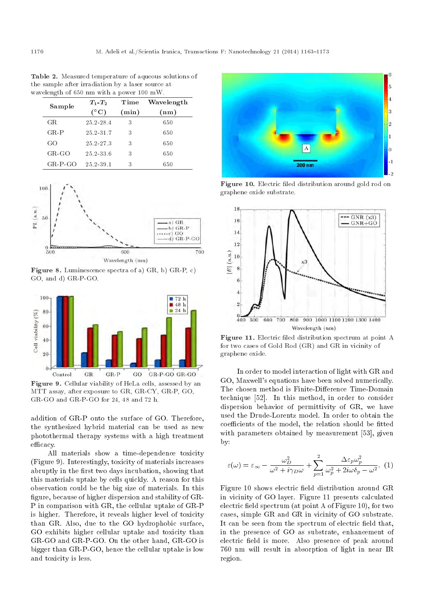Table 2. Measured temperature of aqueous solutions of the sample after irradiation by a laser source at wavelength of 650 nm with a power 100 mW.

| Sample    | $T_1$ - $T_2$ | Time     | Wavelength |
|-----------|---------------|----------|------------|
|           | $^{\circ}$ C) | $(\min)$ | (nm)       |
| GR.       | 25.2-28.4     | 3        | 650        |
| $GR-P$    | 25.2-31.7     | 3        | 650        |
| GO        | 25.2-27.3     | 3        | 650        |
| $G.R-GO$  | $25.2 - 33.6$ | 3        | 650        |
| $GR-P GO$ | 25.2-39.1     | 3        | 650        |



Figure 8. Luminescence spectra of a) GR, b) GR-P, c) GO, and d) GR-P-GO.



Figure 9. Cellular viability of HeLa cells, assessed by an MTT assay, after exposure to GR, GR-CY, GR-P, GO, GR-GO and GR-P-GO for 24, 48 and 72 h.

addition of GR-P onto the surface of GO. Therefore, the synthesized hybrid material can be used as new photothermal therapy systems with a high treatment efficacy.

All materials show a time-dependence toxicity (Figure 9). Interestingly, toxicity of materials increases abruptly in the first two days incubation, showing that this materials uptake by cells quickly. A reason for this observation could be the big size of materials. In this figure, because of higher dispersion and stability of GR-P in comparison with GR, the cellular uptake of GR-P is higher. Therefore, it reveals higher level of toxicity than GR. Also, due to the GO hydrophobic surface, GO exhibits higher cellular uptake and toxicity than GR-GO and GR-P-GO. On the other hand, GR-GO is bigger than GR-P-GO, hence the cellular uptake is low and toxicity is less.



Figure 10. Electric filed distribution around gold rod on graphene oxide substrate.



Figure 11. Electric filed distribution spectrum at point A for two cases of Gold Rod (GR) and GR in vicinity of graphene oxide.

In order to model interaction of light with GR and GO, Maxwell's equations have been solved numerically. The chosen method is Finite-Difference Time-Domain technique [52]. In this method, in order to consider dispersion behavior of permittivity of GR, we have used the Drude-Lorentz model. In order to obtain the coefficients of the model, the relation should be fitted with parameters obtained by measurement [53], given by:

$$
\varepsilon(\omega) = \varepsilon_{\infty} - \frac{\omega_D^2}{\omega^2 + i\gamma_D \omega} + \sum_{p=1}^2 \frac{\Delta \varepsilon_p \omega_p^2}{\omega_p^2 + 2i\omega \delta_p - \omega^2}.
$$
 (1)

Figure 10 shows electric field distribution around GR in vicinity of GO layer. Figure 11 presents calculated electric field spectrum (at point  $A$  of Figure 10), for two cases, simple GR and GR in vicinity of GO substrate. It can be seen from the spectrum of electric field that, in the presence of GO as substrate, enhancement of electric field is more. Also presence of peak around 760 nm will result in absorption of light in near IR region.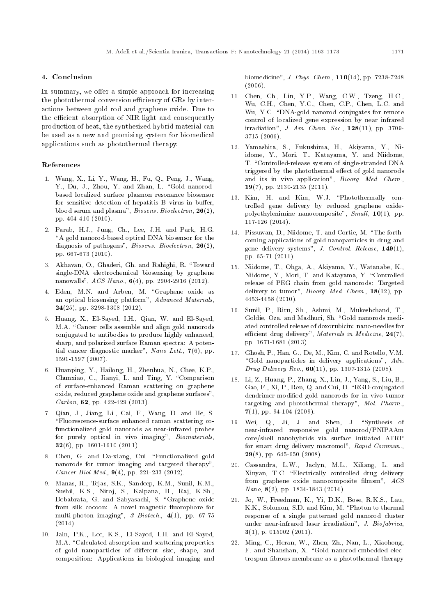#### 4. Conclusion

In summary, we offer a simple approach for increasing the photothermal conversion efficiency of GRs by interactions between gold rod and graphene oxide. Due to the efficient absorption of NIR light and consequently production of heat, the synthesized hybrid material can be used as a new and promising system for biomedical applications such as photothermal therapy.

#### References

- 1. Wang, X., Li, Y., Wang, H., Fu, Q., Peng, J., Wang, Y., Du, J., Zhou, Y. and Zhan, L. "Gold nanorodbased localized surface plasmon resonance biosensor for sensitive detection of hepatitis B virus in buffer, blood serum and plasma", Biosens. Bioelectron, 26(2), pp. 404-410 (2010).
- 2. Parab, H.J., Jung, Ch., Lee, J.H. and Park, H.G. "A gold nanorod-based optical DNA biosensor for the diagnosis of pathogens", *Biosens. Bioelectron*, 26(2), pp. 667-673 (2010).
- 3. Akhavan, O., Ghaderi, Gh. and Rahighi, R. \Toward single-DNA electrochemical biosensing by graphene nanowalls", ACS Nano., 6(4), pp. 2904-2916 (2012).
- 4. Eden, M.N. and Arben, M. "Graphene oxide as an optical biosensing platform", Advanced Materials, 24(25), pp. 3298-3308 (2012).
- 5. Huang, X., El-Sayed, I.H., Qian, W. and El-Sayed, M.A. "Cancer cells assemble and align gold nanorods conjugated to antibodies to produce highly enhanced, sharp, and polarized surface Raman spectra: A potential cancer diagnostic marker", Nano Lett., 7(6), pp. 1591-1597 (2007).
- 6. Huanping, Y., Hailong, H., Zhenhua, N., Chee, K.P., Chunxiao, C., Jianyi, L. and Ting, Y. "Comparison of surface-enhanced Raman scattering on graphene oxide, reduced graphene oxide and graphene surfaces", Carbon, 62, pp. 422-429 (2013).
- 7. Qian, J., Jiang, Li., Cai, F., Wang, D. and He, S. \Fluorescence-surface enhanced raman scattering cofunctionalized gold nanorods as near-infrared probes for purely optical in vivo imaging", Biomaterials, 32(6), pp. 1601-1610 (2011).
- 8. Chen, G. and Da-xiang, Cui. "Functionalized gold nanorods for tumor imaging and targeted therapy", Cancer Biol Med., 9(4), pp. 221-233 (2012).
- 9. Manas, R., Tejas, S.K., Sandeep, K.M., Sunil, K.M., Sushil, K.S., Niroj, S., Kalpana, B., Raj, K.Sh., Debabrata, G. and Sabyasachi, S. "Graphene oxide from silk cocoon: A novel magnetic fluorophore for multi-photon imaging", 3 Biotech., 4(1), pp. 67-75 (2014).
- 10. Jain, P.K., Lee, K.S., El-Sayed, I.H. and El-Sayed, M.A. "Calculated absorption and scattering properties of gold nanoparticles of different size, shape, and composition: Applications in biological imaging and

biomedicine", J. Phys. Chem., 110(14), pp. 7238-7248 (2006).

- 11. Chen, Ch., Lin, Y.P., Wang, C.W., Tzeng, H.C., Wu, C.H., Chen, Y.C., Chen, C.P., Chen, L.C. and Wu, Y.C. "DNA-gold nanorod conjugates for remote control of localized gene expression by near infrared irradiation", J. Am. Chem. Soc.,  $128(11)$ , pp. 3709-3715 (2006).
- 12. Yamashita, S., Fukushima, H., Akiyama, Y., Niidome, Y., Mori, T., Katayama, Y. and Niidome, T. "Controlled-release system of single-stranded DNA triggered by the photothermal effect of gold nanorods and its in vivo application", Bioorg. Med. Chem., 19(7), pp. 2130-2135 (2011).
- 13. Kim, H. and Kim, W.J. \Photothermally controlled gene delivery by reduced graphene oxidepolyethylenimine nanocomposite",  $Small$ ,  $10(1)$ , pp. 117-126 (2014).
- 14. Pissuwan, D., Niidome, T. and Cortie, M. \The forthcoming applications of gold nanoparticles in drug and gene delivery systems", J. Control. Release, 149(1), pp. 65-71 (2011).
- 15. Niidome, T., Ohga, A., Akiyama, Y., Watanabe, K., Niidome, Y., Mori, T. and Katayama, Y. "Controlled release of PEG chain from gold nanorods: Targeted delivery to tumor", *Bioorg. Med. Chem.*,  $18(12)$ , pp. 4453-4458 (2010).
- 16. Sunil, P., Ritu, Sh., Ashmi, M., Mukeshchand, T., Goldie, Oza. and Madhuri, Sh. "Gold nanorods mediated controlled release of doxorubicin: nano-needles for efficient drug delivery", Materials in Medicine,  $24(7)$ , pp. 1671-1681 (2013).
- 17. Ghosh, P., Han, G., De, M., Kim, C. and Rotello, V.M. "Gold nanoparticles in delivery applications",  $Adv.$ *Drug Delivery Rev.*,  $60(11)$ , pp. 1307-1315 (2008).
- 18. Li, Z., Huang, P., Zhang, X., Lin, J., Yang, S., Liu, B., Gao, F., Xi, P., Ren, Q. and Cui, D. "RGD-conjugated dendrimer-modied gold nanorods for in vivo tumor targeting and photothermal therapy", Mol. Pharm.,  $7(1)$ , pp. 94-104 (2009).
- 19. Wei, Q., Ji, J. and Shen, J. "Synthesis of near-infrared responsive gold nanorod/PNIPAAm core/shell nanohybrids via surface initiated ATRP for smart drug delivery macromol", Rapid Commun.,  $29(8)$ , pp. 645-650 (2008).
- 20. Cassandra, L.W., Jaclyn, M.L., Xiliang, L. and Xinyan, T.C. "Electrically controlled drug delivery from graphene oxide nanocomposite filmsm", ACS Nano, 8(2), pp. 1834-1843 (2014).
- 21. Jo, W., Freedman, K., Yi, D.K., Bose, R.K.S., Lau, K.K., Solomon, S.D. and Kim, M. \Photon to thermal response of a single patterned gold nanorod cluster under near-infrared laser irradiation", J. Biofabrica,  $3(1)$ , p. 015002 (2011).
- 22. Ming, C., Heran, W., Zhen, Zh., Nan, L., Xiaohong, F. and Shanshan, X. "Gold nanorod-embedded electrospun brous membrane as a photothermal therapy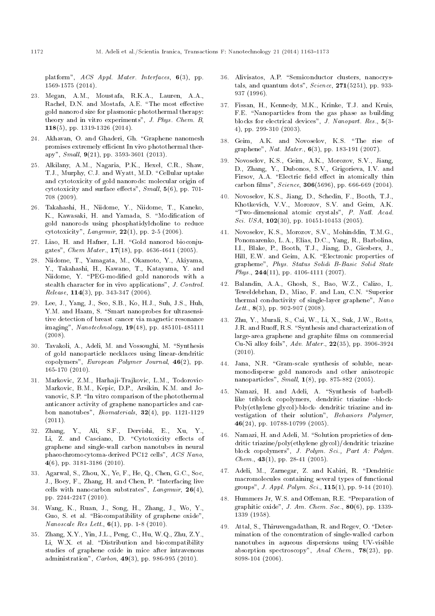platform", ACS Appl. Mater. Interfaces, 6(3), pp. 1569-1575 (2014).

- 23. Megan, A.M., Moustafa, R.K.A., Lauren, A.A., Rachel, D.N. and Mostafa, A.E. "The most effective gold nanorod size for plasmonic photothermal therapy: theory and in vitro experiments", J. Phys. Chem. B, 118(5), pp. 1319-1326 (2014).
- 24. Akhavan, O. and Ghaderi, Gh. "Graphene nanomesh promises extremely efficient In vivo photothermal therapy", Small, 9(21), pp. 3593-3601 (2013).
- 25. Alkilany, A.M., Nagaria, P.K., Hexel, C.R., Shaw, T.J., Murphy, C.J. and Wyatt, M.D. "Cellular uptake and cytotoxicity of gold nanorods: molecular origin of cytotoxicity and surface effects",  $Small, 5(6)$ , pp. 701-708 (2009).
- 26. Takahashi, H., Niidome, Y., Niidome, T., Kaneko, K., Kawasaki, H. and Yamada, S. "Modification of gold nanorods using phosphatidylcholine to reduce cytotoxicity",  $Langmuir$ ,  $22(1)$ , pp. 2-5 (2006).
- 27. Liao, H. and Hafner, L.H. "Gold nanorod bioconjugates", Chem Mater., 17(18), pp. 4636-4641 (2005).
- 28. Niidome, T., Yamagata, M., Okamoto, Y., Akiyama, Y., Takahashi, H., Kawano, T., Katayama, Y. and Niidome, Y. "PEG-modified gold nanorods with a stealth character for in vivo applications", J. Control. *Release*,  $114(3)$ , pp. 343-347 (2006).
- 29. Lee, J., Yang, J., Seo, S.B., Ko, H.J., Suh, J.S., Huh, Y.M. and Haam, S. "Smart nanoprobes for ultrasensitive detection of breast cancer via magnetic resonance imaging", Nanotechnology, 19(48), pp. 485101-485111 (2008).
- 30. Tavakoli, A., Adeli, M. and Vossoughi, M. "Synthesis of gold nanoparticle necklaces using linear-dendritic copolymers", European Polymer Journal, 46(2), pp. 165-170 (2010).
- 31. Markovic, Z.M., Harhaji-Trajkovic, L.M., Todorovic-Markovic, B.M., Kepic, D.P., Arsikin, K.M. and Jovanovic, S.P. "In vitro comparison of the photothermal anticancer activity of graphene nanoparticles and carbon nanotubes",  $Biomaterials$ ,  $32(4)$ , pp. 1121-1129  $(2011).$
- 32. Zhang, Y., Ali, S.F., Dervishi, E., Xu, Y., Li, Z. and Casciano, D. "Cytotoxicity effects of graphene and single-wall carbon nanotubes in neural phaeochromocytoma-derived PC12 cells", ACS Nano, 4(6), pp. 3181-3186 (2010).
- 33. Agarwal, S., Zhou, X., Ye, F., He, Q., Chen, G.C., Soc, J., Boey, F., Zhang, H. and Chen, P. \Interfacing live cells with nanocarbon substrates", Langmuir,  $26(4)$ , pp. 2244-2247 (2010).
- 34. Wang, K., Ruan, J., Song, H., Zhang, J., Wo, Y., Guo, S. et al. "Biocompatibility of graphene oxide", Nanoscale Res Lett.,  $6(1)$ , pp. 1-8 (2010).
- 35. Zhang, X.Y., Yin, J.L., Peng, C., Hu, W.Q., Zhu, Z.Y., Li, W.X. et al. "Distribution and biocompatibility studies of graphene oxide in mice after intravenous administration", Carbon, 49(3), pp. 986-995 (2010).
- 36. Alivisatos, A.P. "Semiconductor clusters, nanocrystals, and quantum dots",  $Science$ ,  $271(5251)$ , pp. 933-937 (1996).
- 37. Fissan, H., Kennedy, M.K., Krinke, T.J. and Kruis, F.E. "Nanoparticles from the gas phase as building blocks for electrical devices", J. Nanopart. Res., 5(3- 4), pp. 299-310 (2003).
- 38. Geim, A.K. and Novoselov, K.S. "The rise of graphene", *Nat. Mater.*,  $6(3)$ , pp. 183-191 (2007).
- 39. Novoselov, K.S., Geim, A.K., Morozov, S.V., Jiang, D., Zhang, Y., Dubonos, S.V., Grigorieva, I.V. and Firsov, A.A. "Electric field effect in atomically thin carbon films", Science,  $306(5696)$ , pp. 666-669 (2004).
- 40. Novoselov, K.S., Jiang, D., Schedin, F., Booth, T.J., Khotkevich, V.V., Morozov, S.V. and Geim, A.K. "Two-dimensional atomic crystals", P. Natl. Acad. Sci. USA,  $102(30)$ , pp. 10451-10453 (2005).
- 41. Novoselov, K.S., Morozov, S.V., Mohinddin, T.M.G., Ponomarenko, L.A., Elias, D.C., Yang, R., Barbolina, I.I., Blake, P., Booth, T.J., Jiang, D., Giesbers, J., Hill, E.W. and Geim, A.K. "Electronic properties of grapheme", Phys. Status Solidi B-Basic Solid State Phys.,  $244(11)$ , pp. 4106-4111 (2007).
- 42. Balandin, A.A., Ghosh, S., Bao, W.Z., Calizo, I,. Teweldebrhan, D., Miao, F. and Lau, C.N. "Superior thermal conductivity of single-layer graphene", Nano Lett.,  $8(3)$ , pp. 902-907 (2008).
- 43. Zhu, Y., Murali, S., Cai, W., Li, X., Suk, J.W., Rotts, J.R. and Ruoff, R.S. "Synthesis and characterization of large-area graphene and graphite films on commercial Cu-Ni alloy foils", Adv. Mater., 22(35), pp. 3906-3924  $(2010)$ .
- 44. Jana, N.R. "Gram-scale synthesis of soluble, nearmonodisperse gold nanorods and other anisotropic nanoparticles", Small, 1(8), pp. 875-882 (2005).
- 45. Namazi, H. and Adeli, A. "Synthesis of barbelllike triblock copolymers, dendritic triazine -block-Poly(ethylene glycol)-block- dendritic triazine and investigation of their solution", Behaviors Polymer, 46(24), pp. 10788-10799 (2005).
- 46. Namazi, H. and Adeli, M. "Solution proprieties of dendritic triazine/poly(ethylene glycol)/dendritic triazine block copolymers", J. Polym. Sci., Part A: Polym.  $Chem., 43(1), pp. 28-41 (2005).$
- 47. Adeli, M., Zarnegar, Z. and Kabiri, R. "Dendritic macromolecules containing several types of functional groups", J. Appl. Polym. Sci.,  $115(1)$ , pp. 9-14 (2010).
- 48. Hummers Jr, W.S. and Offeman, R.E. "Preparation of graphitic oxide", J. Am. Chem. Soc.,  $80(6)$ , pp. 1339-1339 (1958).
- 49. Attal, S., Thiruvengadathan, R. and Regev, O. "Determination of the concentration of single-walled carbon nanotubes in aqueous dispersions using UV-visible absorption spectroscopy", Anal Chem., 78(23), pp. 8098-104 (2006).